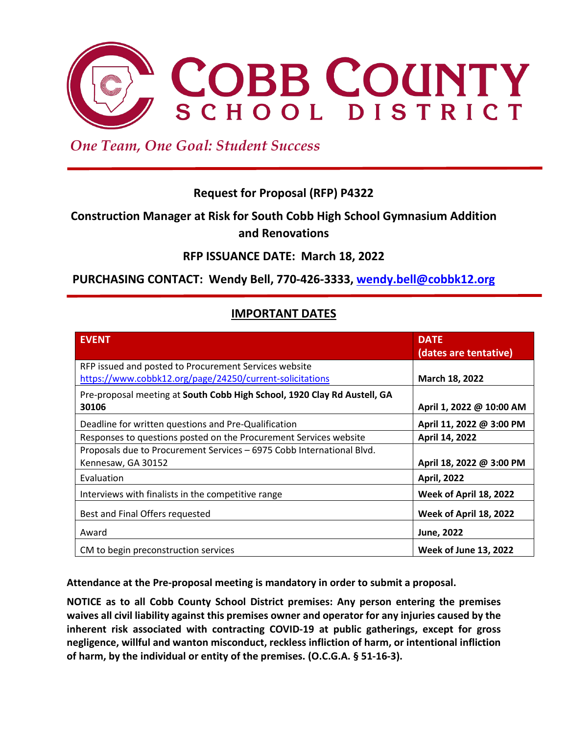

 *One Team, One Goal: Student Success*

# **Request for Proposal (RFP) P4322**

# **Construction Manager at Risk for South Cobb High School Gymnasium Addition and Renovations**

# **RFP ISSUANCE DATE: March 18, 2022**

# **PURCHASING CONTACT: Wendy Bell, 770-426-3333, [wendy.bell@cobbk12.org](mailto:wendy.bell@cobbk12.org)**

# **IMPORTANT DATES**

| <b>EVENT</b>                                                             | <b>DATE</b>                  |
|--------------------------------------------------------------------------|------------------------------|
|                                                                          | (dates are tentative)        |
| RFP issued and posted to Procurement Services website                    |                              |
| https://www.cobbk12.org/page/24250/current-solicitations                 | March 18, 2022               |
| Pre-proposal meeting at South Cobb High School, 1920 Clay Rd Austell, GA |                              |
| 30106                                                                    | April 1, 2022 @ 10:00 AM     |
| Deadline for written questions and Pre-Qualification                     | April 11, 2022 @ 3:00 PM     |
| Responses to questions posted on the Procurement Services website        | April 14, 2022               |
| Proposals due to Procurement Services - 6975 Cobb International Blvd.    |                              |
| Kennesaw, GA 30152                                                       | April 18, 2022 @ 3:00 PM     |
| Evaluation                                                               | <b>April, 2022</b>           |
| Interviews with finalists in the competitive range                       | Week of April 18, 2022       |
| Best and Final Offers requested                                          | Week of April 18, 2022       |
| Award                                                                    | June, 2022                   |
| CM to begin preconstruction services                                     | <b>Week of June 13, 2022</b> |

**Attendance at the Pre-proposal meeting is mandatory in order to submit a proposal.** 

**NOTICE as to all Cobb County School District premises: Any person entering the premises waives all civil liability against this premises owner and operator for any injuries caused by the inherent risk associated with contracting COVID-19 at public gatherings, except for gross negligence, willful and wanton misconduct, reckless infliction of harm, or intentional infliction of harm, by the individual or entity of the premises. (O.C.G.A. § 51-16-3).**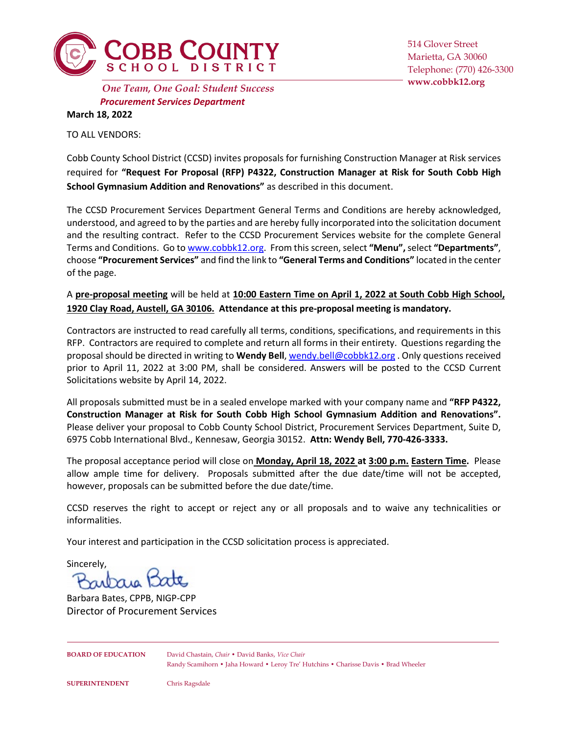

514 Glover Street Marietta, GA 30060 Telephone: (770) 426-3300

*Procurement Services Department* **www.cobbk12.org** *One Team, One Goal: Student Success* **March 18, 2022**

TO ALL VENDORS:

Cobb County School District (CCSD) invites proposals for furnishing Construction Manager at Risk services required for **"Request For Proposal (RFP) P4322, Construction Manager at Risk for South Cobb High School Gymnasium Addition and Renovations"** as described in this document.

The CCSD Procurement Services Department General Terms and Conditions are hereby acknowledged, understood, and agreed to by the parties and are hereby fully incorporated into the solicitation document and the resulting contract. Refer to the CCSD Procurement Services website for the complete General Terms and Conditions. Go t[o www.cobbk12.org.](http://www.cobbk12.org/) From this screen, select **"Menu",** select **"Departments"**, choose **"Procurement Services"** and find the link to **"General Terms and Conditions"** located in the center of the page.

A **pre-proposal meeting** will be held at **10:00 Eastern Time on April 1, 2022 at South Cobb High School, 1920 Clay Road, Austell, GA 30106. Attendance at this pre-proposal meeting is mandatory.**

Contractors are instructed to read carefully all terms, conditions, specifications, and requirements in this RFP. Contractors are required to complete and return all forms in their entirety. Questions regarding the proposal should be directed in writing to **Wendy Bell**[, wendy.bell@cobbk12.org](mailto:wendy.bell@cobbk12.org) . Only questions received prior to April 11, 2022 at 3:00 PM, shall be considered. Answers will be posted to the CCSD Current Solicitations website by April 14, 2022.

All proposals submitted must be in a sealed envelope marked with your company name and **"RFP P4322, Construction Manager at Risk for South Cobb High School Gymnasium Addition and Renovations".**  Please deliver your proposal to Cobb County School District, Procurement Services Department, Suite D, 6975 Cobb International Blvd., Kennesaw, Georgia 30152. **Attn: Wendy Bell, 770-426-3333.** 

The proposal acceptance period will close on **Monday, April 18, 2022 at 3:00 p.m. Eastern Time.** Please allow ample time for delivery. Proposals submitted after the due date/time will not be accepted, however, proposals can be submitted before the due date/time.

CCSD reserves the right to accept or reject any or all proposals and to waive any technicalities or informalities.

Your interest and participation in the CCSD solicitation process is appreciated.

Sincerely,

rutaie 12

Barbara Bates, CPPB, NIGP-CPP Director of Procurement Services

**BOARD OF EDUCATION** David Chastain, *Chair* • David Banks, *Vice Chair* Randy Scamihorn • Jaha Howard • Leroy Tre' Hutchins • Charisse Davis • Brad Wheeler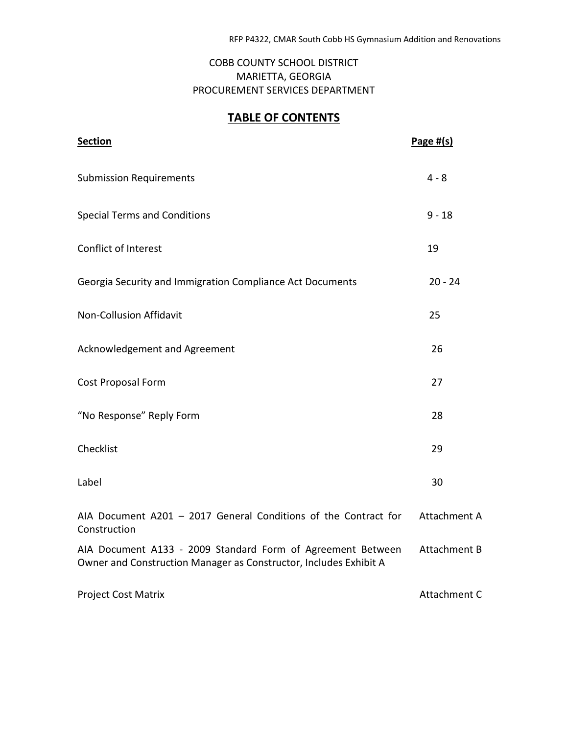# COBB COUNTY SCHOOL DISTRICT MARIETTA, GEORGIA PROCUREMENT SERVICES DEPARTMENT

# **TABLE OF CONTENTS**

| <b>Section</b>                                                                                                                   | Page $#(s)$         |
|----------------------------------------------------------------------------------------------------------------------------------|---------------------|
| <b>Submission Requirements</b>                                                                                                   | $4 - 8$             |
| <b>Special Terms and Conditions</b>                                                                                              | $9 - 18$            |
| Conflict of Interest                                                                                                             | 19                  |
| Georgia Security and Immigration Compliance Act Documents                                                                        | $20 - 24$           |
| Non-Collusion Affidavit                                                                                                          | 25                  |
| Acknowledgement and Agreement                                                                                                    | 26                  |
| Cost Proposal Form                                                                                                               | 27                  |
| "No Response" Reply Form                                                                                                         | 28                  |
| Checklist                                                                                                                        | 29                  |
| Label                                                                                                                            | 30                  |
| AIA Document A201 - 2017 General Conditions of the Contract for<br>Construction                                                  | Attachment A        |
| AIA Document A133 - 2009 Standard Form of Agreement Between<br>Owner and Construction Manager as Constructor, Includes Exhibit A | <b>Attachment B</b> |
| <b>Project Cost Matrix</b>                                                                                                       | Attachment C        |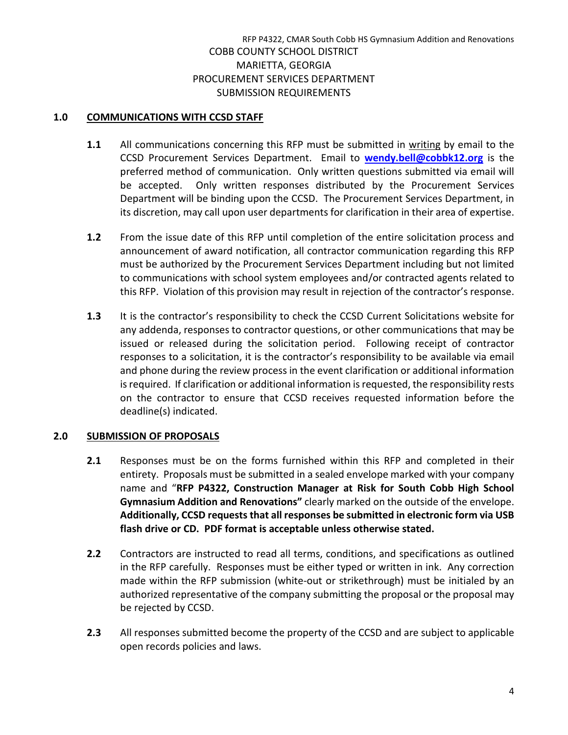# **1.0 COMMUNICATIONS WITH CCSD STAFF**

- **1.1** All communications concerning this RFP must be submitted in writing by email to the CCSD Procurement Services Department. Email to **[wendy.bell@cobbk12.org](mailto:wendy.bell@cobbk12.org)** is the preferred method of communication. Only written questions submitted via email will be accepted. Only written responses distributed by the Procurement Services Department will be binding upon the CCSD. The Procurement Services Department, in its discretion, may call upon user departments for clarification in their area of expertise.
- **1.2** From the issue date of this RFP until completion of the entire solicitation process and announcement of award notification, all contractor communication regarding this RFP must be authorized by the Procurement Services Department including but not limited to communications with school system employees and/or contracted agents related to this RFP. Violation of this provision may result in rejection of the contractor's response.
- **1.3** It is the contractor's responsibility to check the CCSD Current Solicitations website for any addenda, responses to contractor questions, or other communications that may be issued or released during the solicitation period. Following receipt of contractor responses to a solicitation, it is the contractor's responsibility to be available via email and phone during the review process in the event clarification or additional information is required. If clarification or additional information is requested, the responsibility rests on the contractor to ensure that CCSD receives requested information before the deadline(s) indicated.

#### **2.0 SUBMISSION OF PROPOSALS**

- **2.1** Responses must be on the forms furnished within this RFP and completed in their entirety. Proposals must be submitted in a sealed envelope marked with your company name and "**RFP P4322, Construction Manager at Risk for South Cobb High School Gymnasium Addition and Renovations"** clearly marked on the outside of the envelope. **Additionally, CCSD requests that all responses be submitted in electronic form via USB flash drive or CD. PDF format is acceptable unless otherwise stated.**
- **2.2** Contractors are instructed to read all terms, conditions, and specifications as outlined in the RFP carefully. Responses must be either typed or written in ink. Any correction made within the RFP submission (white-out or strikethrough) must be initialed by an authorized representative of the company submitting the proposal or the proposal may be rejected by CCSD.
- **2.3** All responses submitted become the property of the CCSD and are subject to applicable open records policies and laws.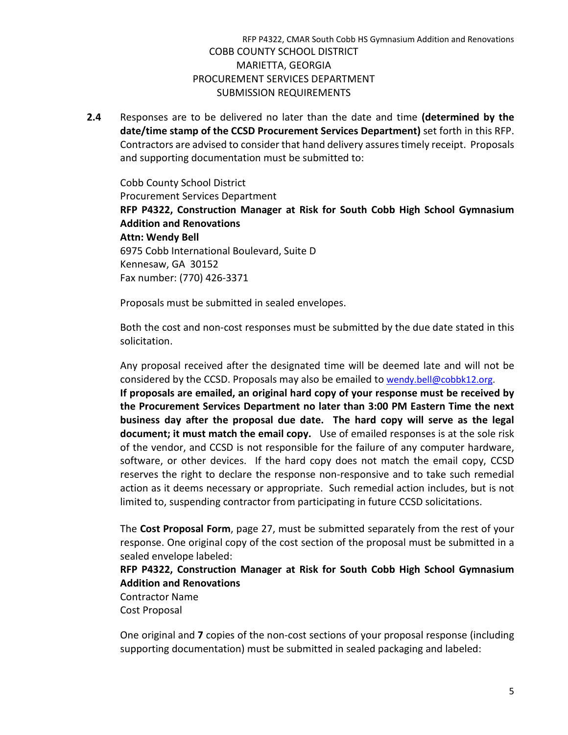**2.4** Responses are to be delivered no later than the date and time **(determined by the date/time stamp of the CCSD Procurement Services Department)** set forth in this RFP. Contractors are advised to consider that hand delivery assures timely receipt. Proposals and supporting documentation must be submitted to:

Cobb County School District Procurement Services Department **RFP P4322, Construction Manager at Risk for South Cobb High School Gymnasium Addition and Renovations Attn: Wendy Bell** 6975 Cobb International Boulevard, Suite D Kennesaw, GA 30152 Fax number: (770) 426-3371

Proposals must be submitted in sealed envelopes.

Both the cost and non-cost responses must be submitted by the due date stated in this solicitation.

Any proposal received after the designated time will be deemed late and will not be considered by the CCSD. Proposals may also be emailed t[o wendy.bell@cobbk12.org.](mailto:wendy.bell@cobbk12.org) **If proposals are emailed, an original hard copy of your response must be received by the Procurement Services Department no later than 3:00 PM Eastern Time the next business day after the proposal due date. The hard copy will serve as the legal document; it must match the email copy.** Use of emailed responses is at the sole risk of the vendor, and CCSD is not responsible for the failure of any computer hardware, software, or other devices. If the hard copy does not match the email copy, CCSD reserves the right to declare the response non-responsive and to take such remedial action as it deems necessary or appropriate. Such remedial action includes, but is not limited to, suspending contractor from participating in future CCSD solicitations.

The **Cost Proposal Form**, page 27, must be submitted separately from the rest of your response. One original copy of the cost section of the proposal must be submitted in a sealed envelope labeled:

# **RFP P4322, Construction Manager at Risk for South Cobb High School Gymnasium Addition and Renovations**

Contractor Name Cost Proposal

One original and **7** copies of the non-cost sections of your proposal response (including supporting documentation) must be submitted in sealed packaging and labeled: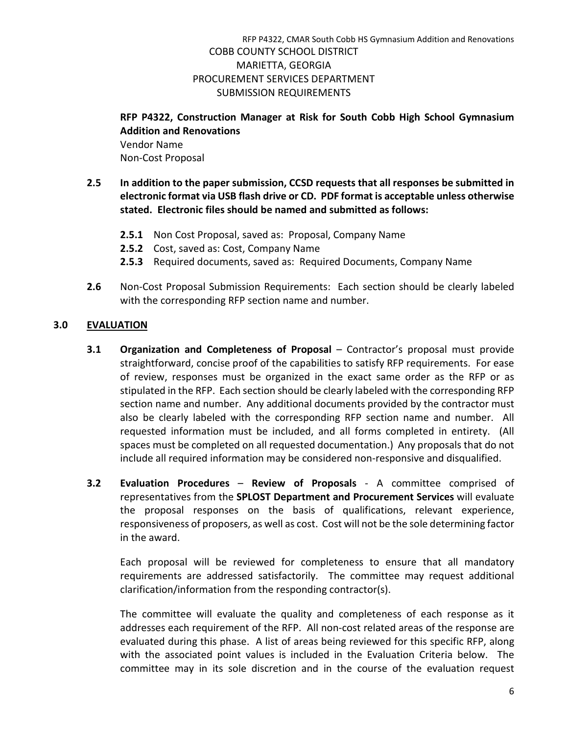# **RFP P4322, Construction Manager at Risk for South Cobb High School Gymnasium Addition and Renovations**

Vendor Name Non-Cost Proposal

- **2.5 In addition to the paper submission, CCSD requests that all responses be submitted in electronic format via USB flash drive or CD. PDF format is acceptable unless otherwise stated. Electronic files should be named and submitted as follows:** 
	- **2.5.1** Non Cost Proposal, saved as: Proposal, Company Name
	- **2.5.2** Cost, saved as: Cost, Company Name
	- **2.5.3** Required documents, saved as: Required Documents, Company Name
- **2.6** Non-Cost Proposal Submission Requirements: Each section should be clearly labeled with the corresponding RFP section name and number.

# **3.0 EVALUATION**

- **3.1 Organization and Completeness of Proposal** Contractor's proposal must provide straightforward, concise proof of the capabilities to satisfy RFP requirements. For ease of review, responses must be organized in the exact same order as the RFP or as stipulated in the RFP. Each section should be clearly labeled with the corresponding RFP section name and number. Any additional documents provided by the contractor must also be clearly labeled with the corresponding RFP section name and number. All requested information must be included, and all forms completed in entirety. (All spaces must be completed on all requested documentation.) Any proposals that do not include all required information may be considered non-responsive and disqualified.
- **3.2 Evaluation Procedures Review of Proposals** A committee comprised of representatives from the **SPLOST Department and Procurement Services** will evaluate the proposal responses on the basis of qualifications, relevant experience, responsiveness of proposers, as well as cost. Cost will not be the sole determining factor in the award.

Each proposal will be reviewed for completeness to ensure that all mandatory requirements are addressed satisfactorily. The committee may request additional clarification/information from the responding contractor(s).

The committee will evaluate the quality and completeness of each response as it addresses each requirement of the RFP. All non-cost related areas of the response are evaluated during this phase. A list of areas being reviewed for this specific RFP, along with the associated point values is included in the Evaluation Criteria below. The committee may in its sole discretion and in the course of the evaluation request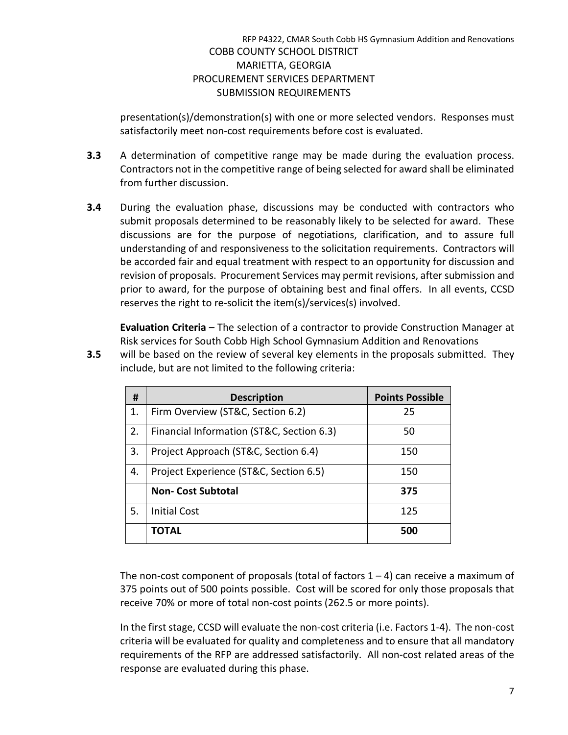presentation(s)/demonstration(s) with one or more selected vendors. Responses must satisfactorily meet non-cost requirements before cost is evaluated.

- **3.3** A determination of competitive range may be made during the evaluation process. Contractors not in the competitive range of being selected for award shall be eliminated from further discussion.
- **3.4** During the evaluation phase, discussions may be conducted with contractors who submit proposals determined to be reasonably likely to be selected for award. These discussions are for the purpose of negotiations, clarification, and to assure full understanding of and responsiveness to the solicitation requirements. Contractors will be accorded fair and equal treatment with respect to an opportunity for discussion and revision of proposals. Procurement Services may permit revisions, after submission and prior to award, for the purpose of obtaining best and final offers. In all events, CCSD reserves the right to re-solicit the item(s)/services(s) involved.

**Evaluation Criteria** – The selection of a contractor to provide Construction Manager at Risk services for South Cobb High School Gymnasium Addition and Renovations

**3.5** will be based on the review of several key elements in the proposals submitted. They include, but are not limited to the following criteria:

| #  | <b>Description</b>                        | <b>Points Possible</b> |
|----|-------------------------------------------|------------------------|
| 1. | Firm Overview (ST&C, Section 6.2)         | 25                     |
| 2. | Financial Information (ST&C, Section 6.3) | 50                     |
| 3. | Project Approach (ST&C, Section 6.4)      | 150                    |
| 4. | Project Experience (ST&C, Section 6.5)    | 150                    |
|    | <b>Non-Cost Subtotal</b>                  | 375                    |
| 5. | <b>Initial Cost</b>                       | 125                    |
|    | TOTAL                                     | 500                    |

The non-cost component of proposals (total of factors  $1 - 4$ ) can receive a maximum of 375 points out of 500 points possible. Cost will be scored for only those proposals that receive 70% or more of total non-cost points (262.5 or more points).

In the first stage, CCSD will evaluate the non-cost criteria (i.e. Factors 1-4). The non-cost criteria will be evaluated for quality and completeness and to ensure that all mandatory requirements of the RFP are addressed satisfactorily. All non-cost related areas of the response are evaluated during this phase.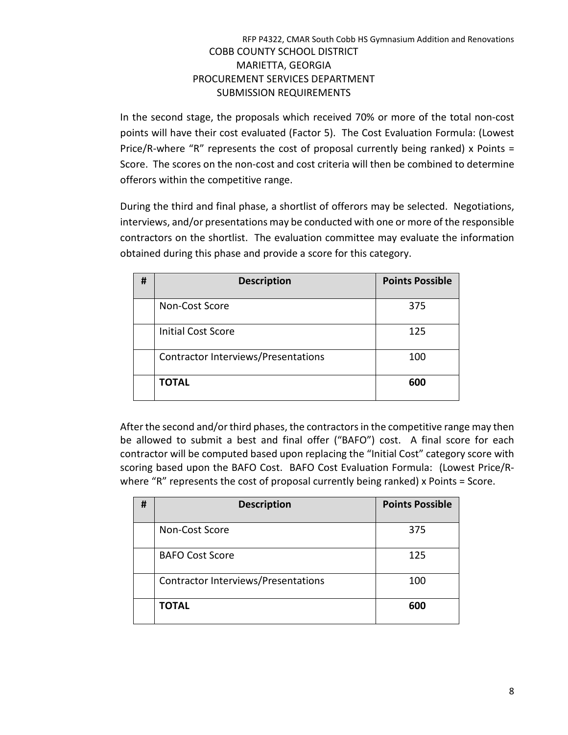In the second stage, the proposals which received 70% or more of the total non-cost points will have their cost evaluated (Factor 5). The Cost Evaluation Formula: (Lowest Price/R-where "R" represents the cost of proposal currently being ranked) x Points = Score. The scores on the non-cost and cost criteria will then be combined to determine offerors within the competitive range.

During the third and final phase, a shortlist of offerors may be selected. Negotiations, interviews, and/or presentations may be conducted with one or more of the responsible contractors on the shortlist. The evaluation committee may evaluate the information obtained during this phase and provide a score for this category.

| # | <b>Description</b>                  | <b>Points Possible</b> |
|---|-------------------------------------|------------------------|
|   | Non-Cost Score                      | 375                    |
|   | <b>Initial Cost Score</b>           | 125                    |
|   | Contractor Interviews/Presentations | 100                    |
|   | <b>TOTAL</b>                        | 600                    |

After the second and/or third phases, the contractors in the competitive range may then be allowed to submit a best and final offer ("BAFO") cost. A final score for each contractor will be computed based upon replacing the "Initial Cost" category score with scoring based upon the BAFO Cost. BAFO Cost Evaluation Formula: (Lowest Price/Rwhere "R" represents the cost of proposal currently being ranked) x Points = Score.

| # | <b>Description</b>                  | <b>Points Possible</b> |
|---|-------------------------------------|------------------------|
|   | Non-Cost Score                      | 375                    |
|   | <b>BAFO Cost Score</b>              | 125                    |
|   | Contractor Interviews/Presentations | 100                    |
|   | <b>TOTAL</b>                        | 600                    |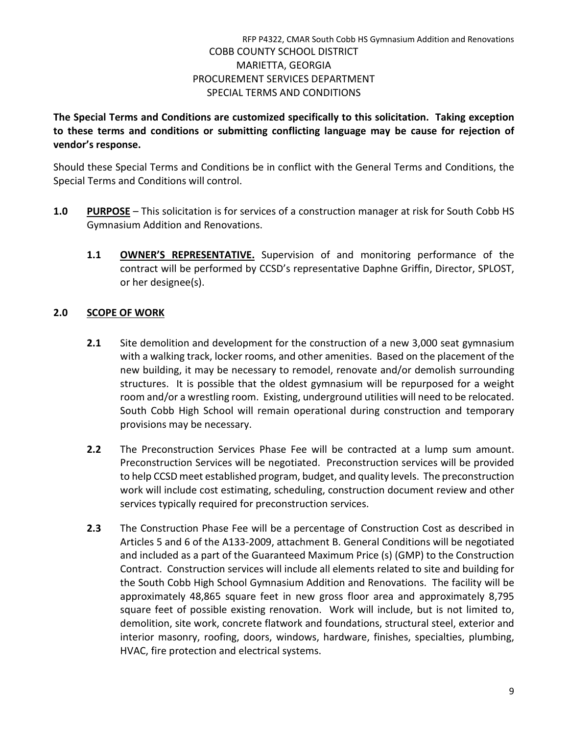**The Special Terms and Conditions are customized specifically to this solicitation. Taking exception to these terms and conditions or submitting conflicting language may be cause for rejection of vendor's response.**

Should these Special Terms and Conditions be in conflict with the General Terms and Conditions, the Special Terms and Conditions will control.

- **1.0 PURPOSE** This solicitation is for services of a construction manager at risk for South Cobb HS Gymnasium Addition and Renovations.
	- **1.1 OWNER'S REPRESENTATIVE.** Supervision of and monitoring performance of the contract will be performed by CCSD's representative Daphne Griffin, Director, SPLOST, or her designee(s).

# **2.0 SCOPE OF WORK**

- **2.1** Site demolition and development for the construction of a new 3,000 seat gymnasium with a walking track, locker rooms, and other amenities. Based on the placement of the new building, it may be necessary to remodel, renovate and/or demolish surrounding structures. It is possible that the oldest gymnasium will be repurposed for a weight room and/or a wrestling room. Existing, underground utilities will need to be relocated. South Cobb High School will remain operational during construction and temporary provisions may be necessary.
- **2.2** The Preconstruction Services Phase Fee will be contracted at a lump sum amount. Preconstruction Services will be negotiated. Preconstruction services will be provided to help CCSD meet established program, budget, and quality levels. The preconstruction work will include cost estimating, scheduling, construction document review and other services typically required for preconstruction services.
- **2.3** The Construction Phase Fee will be a percentage of Construction Cost as described in Articles 5 and 6 of the A133-2009, attachment B. General Conditions will be negotiated and included as a part of the Guaranteed Maximum Price (s) (GMP) to the Construction Contract. Construction services will include all elements related to site and building for the South Cobb High School Gymnasium Addition and Renovations. The facility will be approximately 48,865 square feet in new gross floor area and approximately 8,795 square feet of possible existing renovation. Work will include, but is not limited to, demolition, site work, concrete flatwork and foundations, structural steel, exterior and interior masonry, roofing, doors, windows, hardware, finishes, specialties, plumbing, HVAC, fire protection and electrical systems.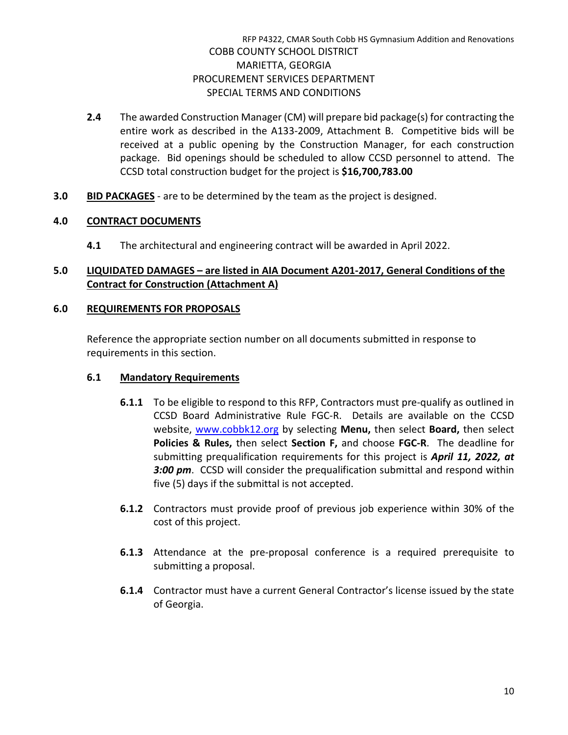- **2.4** The awarded Construction Manager (CM) will prepare bid package(s) for contracting the entire work as described in the A133-2009, Attachment B. Competitive bids will be received at a public opening by the Construction Manager, for each construction package. Bid openings should be scheduled to allow CCSD personnel to attend. The CCSD total construction budget for the project is **\$16,700,783.00**
- **3.0 BID PACKAGES** are to be determined by the team as the project is designed.

# **4.0 CONTRACT DOCUMENTS**

**4.1** The architectural and engineering contract will be awarded in April 2022.

# **5.0 LIQUIDATED DAMAGES – are listed in AIA Document A201-2017, General Conditions of the Contract for Construction (Attachment A)**

#### **6.0 REQUIREMENTS FOR PROPOSALS**

Reference the appropriate section number on all documents submitted in response to requirements in this section.

## **6.1 Mandatory Requirements**

- **6.1.1** To be eligible to respond to this RFP, Contractors must pre-qualify as outlined in CCSD Board Administrative Rule FGC-R. Details are available on the CCSD website, [www.cobbk12.org](http://www.cobbk12.org/) by selecting **Menu,** then select **Board,** then select **Policies & Rules,** then select **Section F,** and choose **FGC-R**. The deadline for submitting prequalification requirements for this project is *April 11, 2022, at 3:00 pm*. CCSD will consider the prequalification submittal and respond within five (5) days if the submittal is not accepted.
- **6.1.2** Contractors must provide proof of previous job experience within 30% of the cost of this project.
- **6.1.3** Attendance at the pre-proposal conference is a required prerequisite to submitting a proposal.
- **6.1.4** Contractor must have a current General Contractor's license issued by the state of Georgia.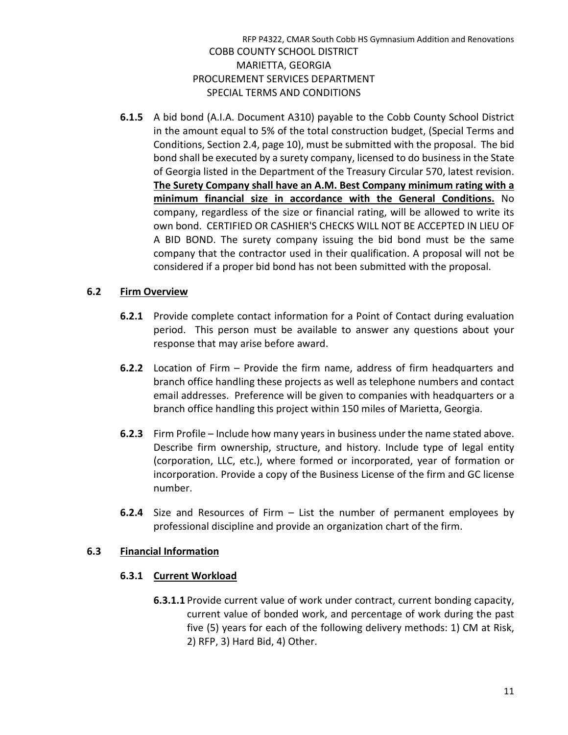**6.1.5** A bid bond (A.I.A. Document A310) payable to the Cobb County School District in the amount equal to 5% of the total construction budget, (Special Terms and Conditions, Section 2.4, page 10), must be submitted with the proposal. The bid bond shall be executed by a surety company, licensed to do business in the State of Georgia listed in the Department of the Treasury Circular 570, latest revision. **The Surety Company shall have an A.M. Best Company minimum rating with a minimum financial size in accordance with the General Conditions.** No company, regardless of the size or financial rating, will be allowed to write its own bond. CERTIFIED OR CASHIER'S CHECKS WILL NOT BE ACCEPTED IN LIEU OF A BID BOND. The surety company issuing the bid bond must be the same company that the contractor used in their qualification. A proposal will not be considered if a proper bid bond has not been submitted with the proposal.

#### **6.2 Firm Overview**

- **6.2.1** Provide complete contact information for a Point of Contact during evaluation period. This person must be available to answer any questions about your response that may arise before award.
- **6.2.2** Location of Firm Provide the firm name, address of firm headquarters and branch office handling these projects as well as telephone numbers and contact email addresses. Preference will be given to companies with headquarters or a branch office handling this project within 150 miles of Marietta, Georgia.
- **6.2.3** Firm Profile Include how many years in business under the name stated above. Describe firm ownership, structure, and history. Include type of legal entity (corporation, LLC, etc.), where formed or incorporated, year of formation or incorporation. Provide a copy of the Business License of the firm and GC license number.
- **6.2.4** Size and Resources of Firm List the number of permanent employees by professional discipline and provide an organization chart of the firm.

#### **6.3 Financial Information**

#### **6.3.1 Current Workload**

**6.3.1.1** Provide current value of work under contract, current bonding capacity, current value of bonded work, and percentage of work during the past five (5) years for each of the following delivery methods: 1) CM at Risk, 2) RFP, 3) Hard Bid, 4) Other.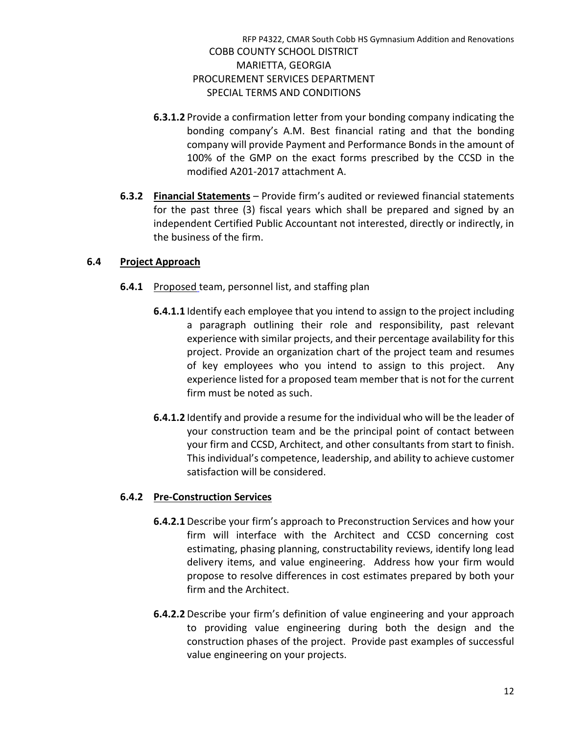- **6.3.1.2** Provide a confirmation letter from your bonding company indicating the bonding company's A.M. Best financial rating and that the bonding company will provide Payment and Performance Bonds in the amount of 100% of the GMP on the exact forms prescribed by the CCSD in the modified A201-2017 attachment A.
- **6.3.2 Financial Statements** Provide firm's audited or reviewed financial statements for the past three (3) fiscal years which shall be prepared and signed by an independent Certified Public Accountant not interested, directly or indirectly, in the business of the firm.

# **6.4 Project Approach**

- **6.4.1** Proposed team, personnel list, and staffing plan
	- **6.4.1.1** Identify each employee that you intend to assign to the project including a paragraph outlining their role and responsibility, past relevant experience with similar projects, and their percentage availability for this project. Provide an organization chart of the project team and resumes of key employees who you intend to assign to this project. Any experience listed for a proposed team member that is not for the current firm must be noted as such.
	- **6.4.1.2** Identify and provide a resume for the individual who will be the leader of your construction team and be the principal point of contact between your firm and CCSD, Architect, and other consultants from start to finish. This individual's competence, leadership, and ability to achieve customer satisfaction will be considered.

# **6.4.2 Pre-Construction Services**

- **6.4.2.1** Describe your firm's approach to Preconstruction Services and how your firm will interface with the Architect and CCSD concerning cost estimating, phasing planning, constructability reviews, identify long lead delivery items, and value engineering. Address how your firm would propose to resolve differences in cost estimates prepared by both your firm and the Architect.
- **6.4.2.2** Describe your firm's definition of value engineering and your approach to providing value engineering during both the design and the construction phases of the project. Provide past examples of successful value engineering on your projects.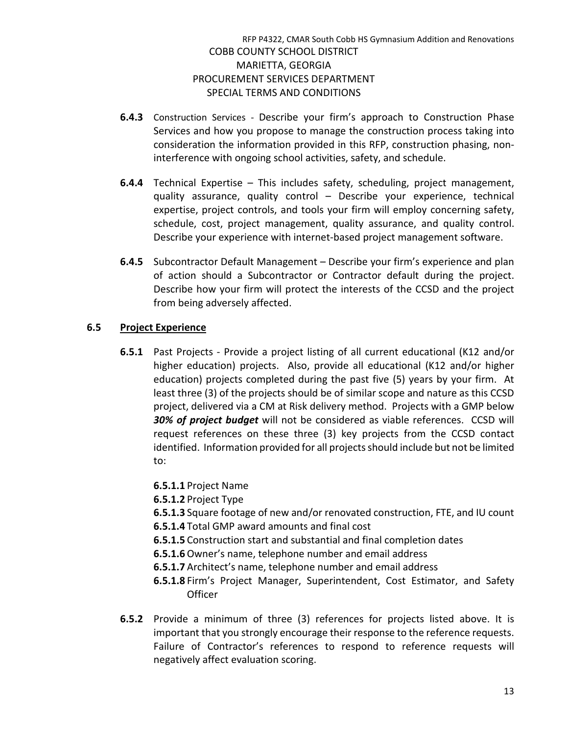- **6.4.3** Construction Services Describe your firm's approach to Construction Phase Services and how you propose to manage the construction process taking into consideration the information provided in this RFP, construction phasing, noninterference with ongoing school activities, safety, and schedule.
- **6.4.4** Technical Expertise This includes safety, scheduling, project management, quality assurance, quality control – Describe your experience, technical expertise, project controls, and tools your firm will employ concerning safety, schedule, cost, project management, quality assurance, and quality control. Describe your experience with internet-based project management software.
- **6.4.5** Subcontractor Default Management Describe your firm's experience and plan of action should a Subcontractor or Contractor default during the project. Describe how your firm will protect the interests of the CCSD and the project from being adversely affected.

# **6.5 Project Experience**

- **6.5.1** Past Projects Provide a project listing of all current educational (K12 and/or higher education) projects. Also, provide all educational (K12 and/or higher education) projects completed during the past five (5) years by your firm. At least three (3) of the projects should be of similar scope and nature as this CCSD project, delivered via a CM at Risk delivery method. Projects with a GMP below *30% of project budget* will not be considered as viable references. CCSD will request references on these three (3) key projects from the CCSD contact identified. Information provided for all projects should include but not be limited to:
	- **6.5.1.1** Project Name
	- **6.5.1.2** Project Type
	- **6.5.1.3** Square footage of new and/or renovated construction, FTE, and IU count
	- **6.5.1.4** Total GMP award amounts and final cost
	- **6.5.1.5** Construction start and substantial and final completion dates
	- **6.5.1.6**Owner's name, telephone number and email address
	- **6.5.1.7** Architect's name, telephone number and email address
	- **6.5.1.8** Firm's Project Manager, Superintendent, Cost Estimator, and Safety **Officer**
- **6.5.2** Provide a minimum of three (3) references for projects listed above. It is important that you strongly encourage their response to the reference requests. Failure of Contractor's references to respond to reference requests will negatively affect evaluation scoring.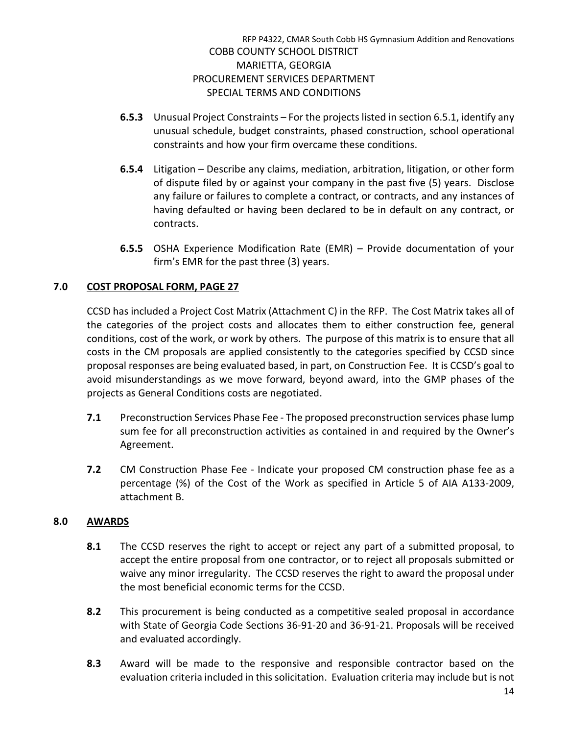- **6.5.3** Unusual Project Constraints For the projects listed in section 6.5.1, identify any unusual schedule, budget constraints, phased construction, school operational constraints and how your firm overcame these conditions.
- **6.5.4** Litigation Describe any claims, mediation, arbitration, litigation, or other form of dispute filed by or against your company in the past five (5) years. Disclose any failure or failures to complete a contract, or contracts, and any instances of having defaulted or having been declared to be in default on any contract, or contracts.
- **6.5.5** OSHA Experience Modification Rate (EMR) Provide documentation of your firm's EMR for the past three (3) years.

# **7.0 COST PROPOSAL FORM, PAGE 27**

CCSD has included a Project Cost Matrix (Attachment C) in the RFP. The Cost Matrix takes all of the categories of the project costs and allocates them to either construction fee, general conditions, cost of the work, or work by others. The purpose of this matrix is to ensure that all costs in the CM proposals are applied consistently to the categories specified by CCSD since proposal responses are being evaluated based, in part, on Construction Fee. It is CCSD's goal to avoid misunderstandings as we move forward, beyond award, into the GMP phases of the projects as General Conditions costs are negotiated.

- **7.1** Preconstruction Services Phase Fee The proposed preconstruction services phase lump sum fee for all preconstruction activities as contained in and required by the Owner's Agreement.
- **7.2** CM Construction Phase Fee Indicate your proposed CM construction phase fee as a percentage (%) of the Cost of the Work as specified in Article 5 of AIA A133-2009, attachment B.

# **8.0 AWARDS**

- **8.1** The CCSD reserves the right to accept or reject any part of a submitted proposal, to accept the entire proposal from one contractor, or to reject all proposals submitted or waive any minor irregularity. The CCSD reserves the right to award the proposal under the most beneficial economic terms for the CCSD.
- **8.2** This procurement is being conducted as a competitive sealed proposal in accordance with State of Georgia Code Sections 36-91-20 and 36-91-21. Proposals will be received and evaluated accordingly.
- **8.3** Award will be made to the responsive and responsible contractor based on the evaluation criteria included in this solicitation. Evaluation criteria may include but is not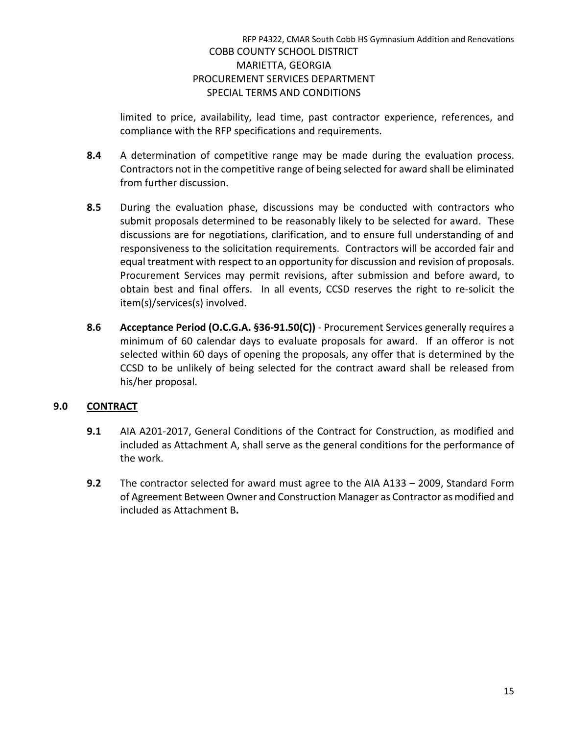limited to price, availability, lead time, past contractor experience, references, and compliance with the RFP specifications and requirements.

- **8.4** A determination of competitive range may be made during the evaluation process. Contractors not in the competitive range of being selected for award shall be eliminated from further discussion.
- **8.5** During the evaluation phase, discussions may be conducted with contractors who submit proposals determined to be reasonably likely to be selected for award. These discussions are for negotiations, clarification, and to ensure full understanding of and responsiveness to the solicitation requirements. Contractors will be accorded fair and equal treatment with respect to an opportunity for discussion and revision of proposals. Procurement Services may permit revisions, after submission and before award, to obtain best and final offers. In all events, CCSD reserves the right to re-solicit the item(s)/services(s) involved.
- **8.6 Acceptance Period (O.C.G.A. §36-91.50(C))** Procurement Services generally requires a minimum of 60 calendar days to evaluate proposals for award. If an offeror is not selected within 60 days of opening the proposals, any offer that is determined by the CCSD to be unlikely of being selected for the contract award shall be released from his/her proposal.

# **9.0 CONTRACT**

- **9.1** AIA A201-2017, General Conditions of the Contract for Construction, as modified and included as Attachment A, shall serve as the general conditions for the performance of the work.
- **9.2** The contractor selected for award must agree to the AIA A133 2009, Standard Form of Agreement Between Owner and Construction Manager as Contractor as modified and included as Attachment B**.**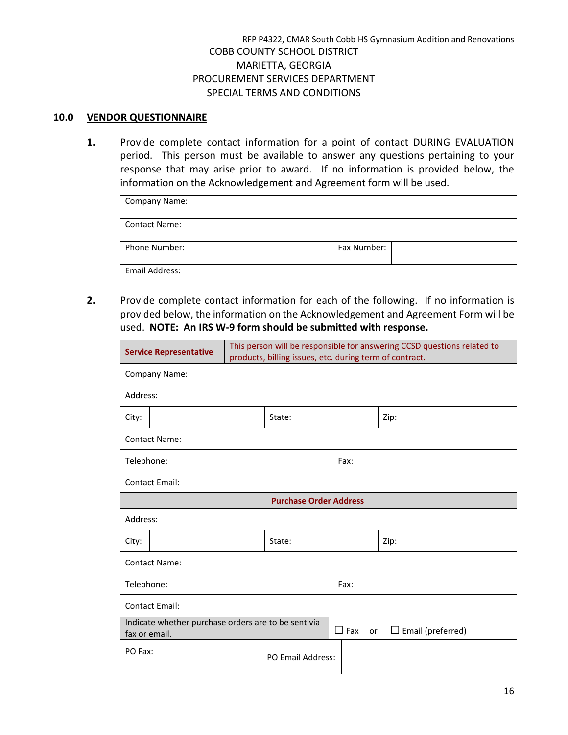#### **10.0 VENDOR QUESTIONNAIRE**

**1.** Provide complete contact information for a point of contact DURING EVALUATION period. This person must be available to answer any questions pertaining to your response that may arise prior to award. If no information is provided below, the information on the Acknowledgement and Agreement form will be used.

| <b>Company Name:</b> |             |  |
|----------------------|-------------|--|
| <b>Contact Name:</b> |             |  |
| <b>Phone Number:</b> | Fax Number: |  |
| Email Address:       |             |  |

**2.** Provide complete contact information for each of the following. If no information is provided below, the information on the Acknowledgement and Agreement Form will be used. **NOTE: An IRS W-9 form should be submitted with response.**

| This person will be responsible for answering CCSD questions related to<br><b>Service Representative</b><br>products, billing issues, etc. during term of contract. |  |  |                               |  |      |      |  |
|---------------------------------------------------------------------------------------------------------------------------------------------------------------------|--|--|-------------------------------|--|------|------|--|
| Company Name:                                                                                                                                                       |  |  |                               |  |      |      |  |
| Address:                                                                                                                                                            |  |  |                               |  |      |      |  |
| City:                                                                                                                                                               |  |  | State:                        |  |      | Zip: |  |
| <b>Contact Name:</b>                                                                                                                                                |  |  |                               |  |      |      |  |
| Telephone:                                                                                                                                                          |  |  |                               |  | Fax: |      |  |
| <b>Contact Email:</b>                                                                                                                                               |  |  |                               |  |      |      |  |
|                                                                                                                                                                     |  |  | <b>Purchase Order Address</b> |  |      |      |  |
| Address:                                                                                                                                                            |  |  |                               |  |      |      |  |
| City:                                                                                                                                                               |  |  | State:                        |  |      | Zip: |  |
| <b>Contact Name:</b>                                                                                                                                                |  |  |                               |  |      |      |  |
| Telephone:                                                                                                                                                          |  |  |                               |  | Fax: |      |  |
| <b>Contact Email:</b>                                                                                                                                               |  |  |                               |  |      |      |  |
| Indicate whether purchase orders are to be sent via<br>$\Box$ Fax<br>$\Box$ Email (preferred)<br>or<br>fax or email.                                                |  |  |                               |  |      |      |  |
| PO Fax:                                                                                                                                                             |  |  | <b>PO Email Address:</b>      |  |      |      |  |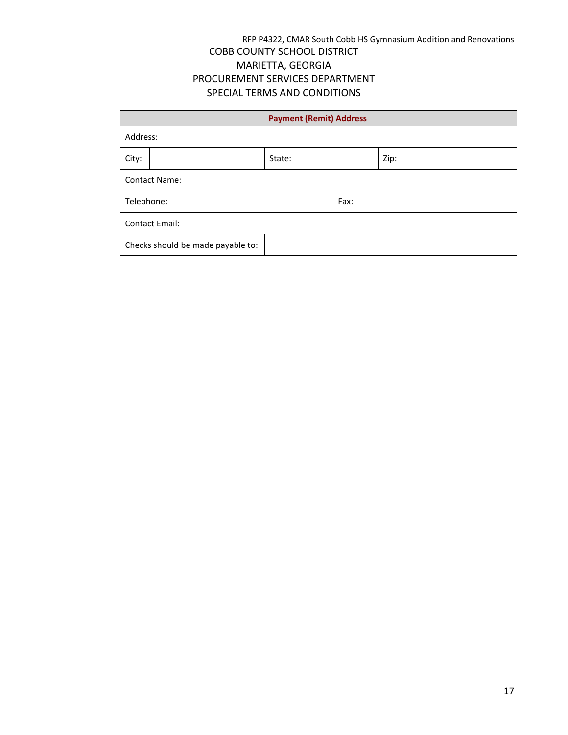| <b>Payment (Remit) Address</b>    |                      |  |        |  |      |      |  |
|-----------------------------------|----------------------|--|--------|--|------|------|--|
| Address:                          |                      |  |        |  |      |      |  |
| City:                             |                      |  | State: |  |      | Zip: |  |
|                                   | <b>Contact Name:</b> |  |        |  |      |      |  |
| Telephone:                        |                      |  |        |  | Fax: |      |  |
| <b>Contact Email:</b>             |                      |  |        |  |      |      |  |
| Checks should be made payable to: |                      |  |        |  |      |      |  |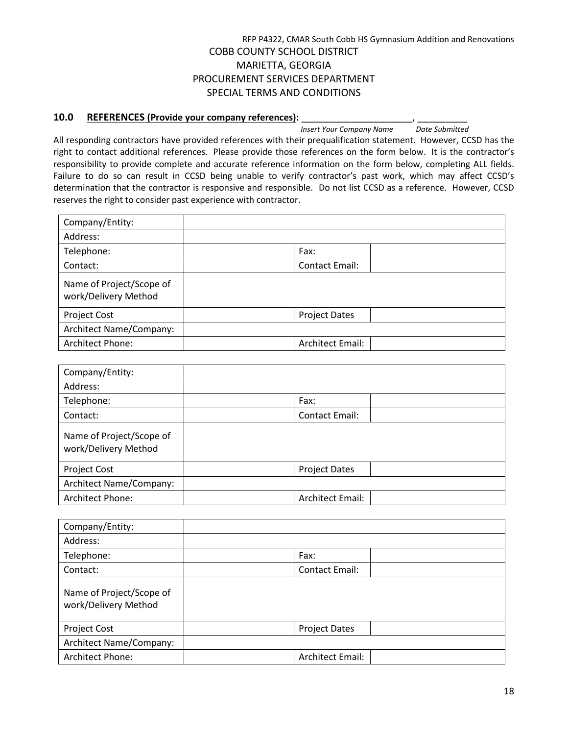# **10.0 REFERENCES (Provide your company references):** <br>*Insert Your Company Name* Date Submitted

*Insert Your Company Name* 

All responding contractors have provided references with their prequalification statement. However, CCSD has the right to contact additional references. Please provide those references on the form below. It is the contractor's responsibility to provide complete and accurate reference information on the form below, completing ALL fields. Failure to do so can result in CCSD being unable to verify contractor's past work, which may affect CCSD's determination that the contractor is responsive and responsible. Do not list CCSD as a reference. However, CCSD reserves the right to consider past experience with contractor.

| Company/Entity:                                  |                         |
|--------------------------------------------------|-------------------------|
| Address:                                         |                         |
| Telephone:                                       | Fax:                    |
| Contact:                                         | <b>Contact Email:</b>   |
| Name of Project/Scope of<br>work/Delivery Method |                         |
| <b>Project Cost</b>                              | <b>Project Dates</b>    |
| <b>Architect Name/Company:</b>                   |                         |
| Architect Phone:                                 | <b>Architect Email:</b> |

| Company/Entity:                                  |                         |
|--------------------------------------------------|-------------------------|
| Address:                                         |                         |
| Telephone:                                       | Fax:                    |
| Contact:                                         | Contact Email:          |
| Name of Project/Scope of<br>work/Delivery Method |                         |
| <b>Project Cost</b>                              | <b>Project Dates</b>    |
| Architect Name/Company:                          |                         |
| Architect Phone:                                 | <b>Architect Email:</b> |

| Company/Entity:                                  |                         |
|--------------------------------------------------|-------------------------|
| Address:                                         |                         |
| Telephone:                                       | Fax:                    |
| Contact:                                         | <b>Contact Email:</b>   |
| Name of Project/Scope of<br>work/Delivery Method |                         |
| Project Cost                                     | <b>Project Dates</b>    |
| <b>Architect Name/Company:</b>                   |                         |
| Architect Phone:                                 | <b>Architect Email:</b> |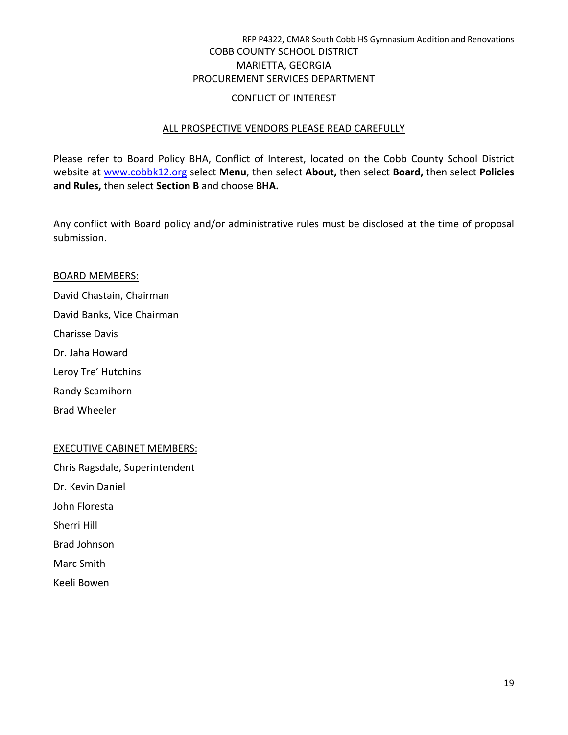#### CONFLICT OF INTEREST

#### ALL PROSPECTIVE VENDORS PLEASE READ CAREFULLY

Please refer to Board Policy BHA, Conflict of Interest, located on the Cobb County School District website at [www.cobbk12.org](http://www.cobbk12.org/) select **Menu**, then select **About,** then select **Board,** then select **Policies and Rules,** then select **Section B** and choose **BHA.**

Any conflict with Board policy and/or administrative rules must be disclosed at the time of proposal submission.

#### BOARD MEMBERS:

David Chastain, Chairman David Banks, Vice Chairman Charisse Davis Dr. Jaha Howard Leroy Tre' Hutchins Randy Scamihorn

Brad Wheeler

# EXECUTIVE CABINET MEMBERS:

Chris Ragsdale, Superintendent Dr. Kevin Daniel John Floresta Sherri Hill Brad Johnson Marc Smith Keeli Bowen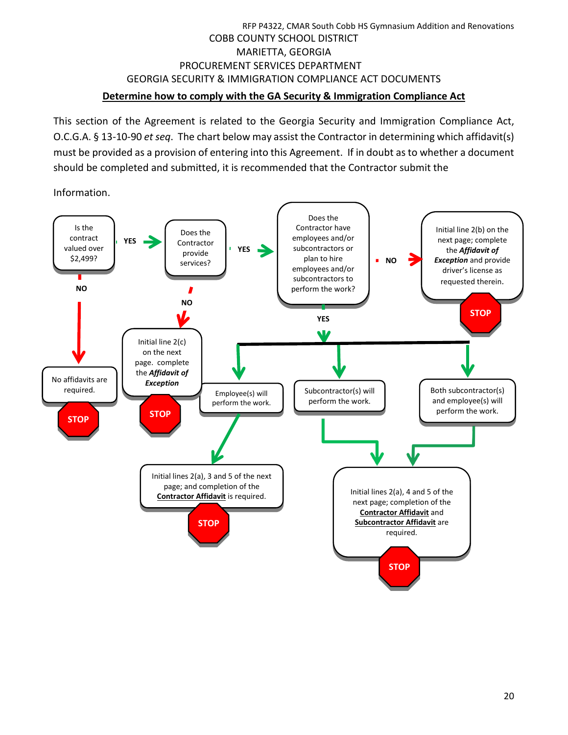# RFP P4322, CMAR South Cobb HS Gymnasium Addition and Renovations COBB COUNTY SCHOOL DISTRICT MARIETTA, GEORGIA PROCUREMENT SERVICES DEPARTMENT GEORGIA SECURITY & IMMIGRATION COMPLIANCE ACT DOCUMENTS **Determine how to comply with the GA Security & Immigration Compliance Act**

This section of the Agreement is related to the Georgia Security and Immigration Compliance Act, O.C.G.A. § 13-10-90 *et seq*. The chart below may assist the Contractor in determining which affidavit(s) must be provided as a provision of entering into this Agreement. If in doubt as to whether a document should be completed and submitted, it is recommended that the Contractor submit the

Information.

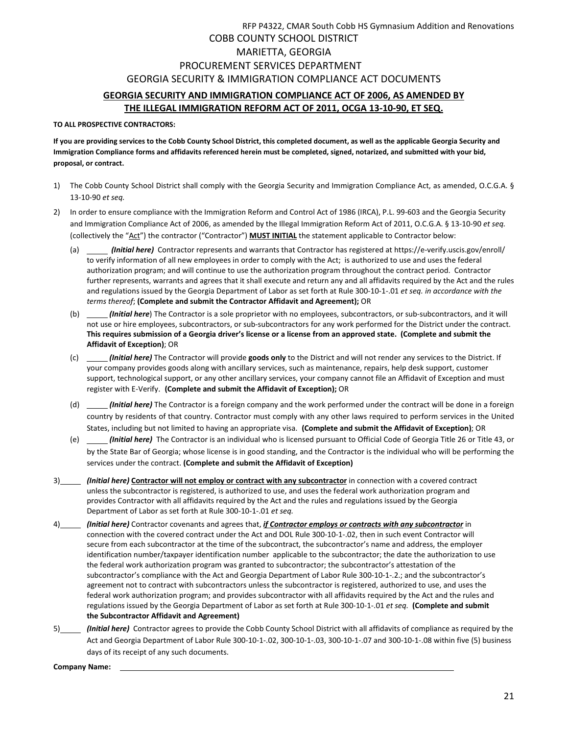# RFP P4322, CMAR South Cobb HS Gymnasium Addition and Renovations COBB COUNTY SCHOOL DISTRICT MARIETTA, GEORGIA PROCUREMENT SERVICES DEPARTMENT GEORGIA SECURITY & IMMIGRATION COMPLIANCE ACT DOCUMENTS **GEORGIA SECURITY AND IMMIGRATION COMPLIANCE ACT OF 2006, AS AMENDED BY THE ILLEGAL IMMIGRATION REFORM ACT OF 2011, OCGA 13-10-90, ET SEQ.**

#### **TO ALL PROSPECTIVE CONTRACTORS:**

**If you are providing services to the Cobb County School District, this completed document, as well as the applicable Georgia Security and Immigration Compliance forms and affidavits referenced herein must be completed, signed, notarized, and submitted with your bid, proposal, or contract.**

- 1) The Cobb County School District shall comply with the Georgia Security and Immigration Compliance Act, as amended, O.C.G.A. § 13-10-90 *et seq.*
- 2) In order to ensure compliance with the Immigration Reform and Control Act of 1986 (IRCA), P.L. 99-603 and the Georgia Security and Immigration Compliance Act of 2006, as amended by the Illegal Immigration Reform Act of 2011, O.C.G.A. § 13-10-90 *et seq.* (collectively the "Act") the contractor ("Contractor") **MUST INITIAL** the statement applicable to Contractor below:
	- (a) *(Initial here)* Contractor represents and warrants that Contractor has registered a[t https://e-verify.uscis.gov/enroll/](https://e-verify.uscis.gov/enroll/) to verify information of all new employees in order to comply with the Act; is authorized to use and uses the federal authorization program; and will continue to use the authorization program throughout the contract period. Contractor further represents, warrants and agrees that it shall execute and return any and all affidavits required by the Act and the rules and regulations issued by the Georgia Department of Labor as set forth at Rule 300-10-1-.01 *et seq. in accordance with the terms thereof*; **(Complete and submit the Contractor Affidavit and Agreement);** OR
	- (b) *(Initial here*) The Contractor is a sole proprietor with no employees, subcontractors, or sub-subcontractors, and it will not use or hire employees, subcontractors, or sub-subcontractors for any work performed for the District under the contract. **This requires submission of a Georgia driver's license or a license from an approved state. (Complete and submit the Affidavit of Exception)**; OR
	- (c) *(Initial here)* The Contractor will provide **goods only** to the District and will not render any services to the District. If your company provides goods along with ancillary services, such as maintenance, repairs, help desk support, customer support, technological support, or any other ancillary services, your company cannot file an Affidavit of Exception and must register with E-Verify. **(Complete and submit the Affidavit of Exception);** OR
	- (d) *(Initial here)* The Contractor is a foreign company and the work performed under the contract will be done in a foreign country by residents of that country. Contractor must comply with any other laws required to perform services in the United States, including but not limited to having an appropriate visa. **(Complete and submit the Affidavit of Exception)**; OR
	- (e) *(Initial here)* The Contractor is an individual who is licensed pursuant to Official Code of Georgia Title 26 or Title 43, or by the State Bar of Georgia; whose license is in good standing, and the Contractor is the individual who will be performing the services under the contract. **(Complete and submit the Affidavit of Exception)**
- 3) *(Initial here)* **Contractor will not employ or contract with any subcontractor** in connection with a covered contract unless the subcontractor is registered, is authorized to use, and uses the federal work authorization program and provides Contractor with all affidavits required by the Act and the rules and regulations issued by the Georgia Department of Labor as set forth at Rule 300-10-1-.01 *et seq.*
- 4) *(Initial here)* Contractor covenants and agrees that, *if Contractor employs or contracts with any subcontractor* in connection with the covered contract under the Act and DOL Rule 300-10-1-.02, then in such event Contractor will secure from each subcontractor at the time of the subcontract, the subcontractor's name and address, the employer identification number/taxpayer identification number applicable to the subcontractor; the date the authorization to use the federal work authorization program was granted to subcontractor; the subcontractor's attestation of the subcontractor's compliance with the Act and Georgia Department of Labor Rule 300-10-1-.2.; and the subcontractor's agreement not to contract with subcontractors unless the subcontractor is registered, authorized to use, and uses the federal work authorization program; and provides subcontractor with all affidavits required by the Act and the rules and regulations issued by the Georgia Department of Labor as set forth at Rule 300-10-1-.01 *et seq.* **(Complete and submit the Subcontractor Affidavit and Agreement)**
- 5) *(Initial here)* Contractor agrees to provide the Cobb County School District with all affidavits of compliance as required by the Act and Georgia Department of Labor Rule 300-10-1-.02, 300-10-1-.03, 300-10-1-.07 and 300-10-1-.08 within five (5) business days of its receipt of any such documents.

**Company Name:**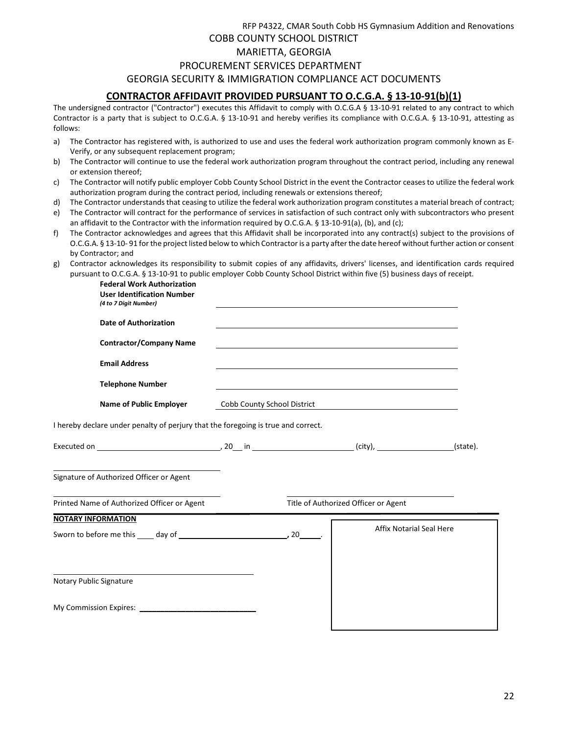# RFP P4322, CMAR South Cobb HS Gymnasium Addition and Renovations COBB COUNTY SCHOOL DISTRICT MARIETTA, GEORGIA PROCUREMENT SERVICES DEPARTMENT GEORGIA SECURITY & IMMIGRATION COMPLIANCE ACT DOCUMENTS **CONTRACTOR AFFIDAVIT PROVIDED PURSUANT TO O.C.G.A. § 13-10-91(b)(1)**

The undersigned contractor ("Contractor") executes this Affidavit to comply with O.C.G.A § 13-10-91 related to any contract to which Contractor is a party that is subject to O.C.G.A. § 13-10-91 and hereby verifies its compliance with O.C.G.A. § 13-10-91, attesting as follows:

- a) The Contractor has registered with, is authorized to use and uses the federal work authorization program commonly known as E-Verify, or any subsequent replacement program;
- b) The Contractor will continue to use the federal work authorization program throughout the contract period, including any renewal or extension thereof;
- c) The Contractor will notify public employer Cobb County School District in the event the Contractor ceases to utilize the federal work authorization program during the contract period, including renewals or extensions thereof;
- d) The Contractor understands that ceasing to utilize the federal work authorization program constitutes a material breach of contract;
- e) The Contractor will contract for the performance of services in satisfaction of such contract only with subcontractors who present an affidavit to the Contractor with the information required by O.C.G.A. § 13-10-91(a), (b), and (c);
- f) The Contractor acknowledges and agrees that this Affidavit shall be incorporated into any contract(s) subject to the provisions of O.C.G.A. § 13-10- 91 for the project listed below to which Contractor is a party after the date hereof without further action or consent by Contractor; and
- g) Contractor acknowledges its responsibility to submit copies of any affidavits, drivers' licenses, and identification cards required pursuant to O.C.G.A. § 13-10-91 to public employer Cobb County School District within five (5) business days of receipt.

**Federal Work Authorization**

| (4 to 7 Digit Number)                                                             | <b>User Identification Number</b> |                             |                                                                                                                                                                                                                               |                                                                                                                  |  |
|-----------------------------------------------------------------------------------|-----------------------------------|-----------------------------|-------------------------------------------------------------------------------------------------------------------------------------------------------------------------------------------------------------------------------|------------------------------------------------------------------------------------------------------------------|--|
|                                                                                   | <b>Date of Authorization</b>      |                             |                                                                                                                                                                                                                               | and the control of the control of the control of the control of the control of the control of the control of the |  |
|                                                                                   | <b>Contractor/Company Name</b>    |                             |                                                                                                                                                                                                                               |                                                                                                                  |  |
| <b>Email Address</b>                                                              |                                   |                             |                                                                                                                                                                                                                               |                                                                                                                  |  |
|                                                                                   | <b>Telephone Number</b>           |                             | the control of the control of the control of the control of the control of the control of the control of the control of the control of the control of the control of the control of the control of the control of the control |                                                                                                                  |  |
|                                                                                   | Name of Public Employer           | Cobb County School District |                                                                                                                                                                                                                               |                                                                                                                  |  |
| I hereby declare under penalty of perjury that the foregoing is true and correct. |                                   |                             |                                                                                                                                                                                                                               |                                                                                                                  |  |
|                                                                                   |                                   |                             |                                                                                                                                                                                                                               |                                                                                                                  |  |
| Signature of Authorized Officer or Agent                                          |                                   |                             |                                                                                                                                                                                                                               |                                                                                                                  |  |
| Printed Name of Authorized Officer or Agent                                       |                                   |                             |                                                                                                                                                                                                                               | Title of Authorized Officer or Agent                                                                             |  |
| <b>NOTARY INFORMATION</b>                                                         |                                   |                             |                                                                                                                                                                                                                               | <b>Affix Notarial Seal Here</b>                                                                                  |  |
|                                                                                   |                                   |                             |                                                                                                                                                                                                                               |                                                                                                                  |  |
|                                                                                   |                                   |                             |                                                                                                                                                                                                                               |                                                                                                                  |  |
| Notary Public Signature                                                           |                                   |                             |                                                                                                                                                                                                                               |                                                                                                                  |  |
|                                                                                   |                                   |                             |                                                                                                                                                                                                                               |                                                                                                                  |  |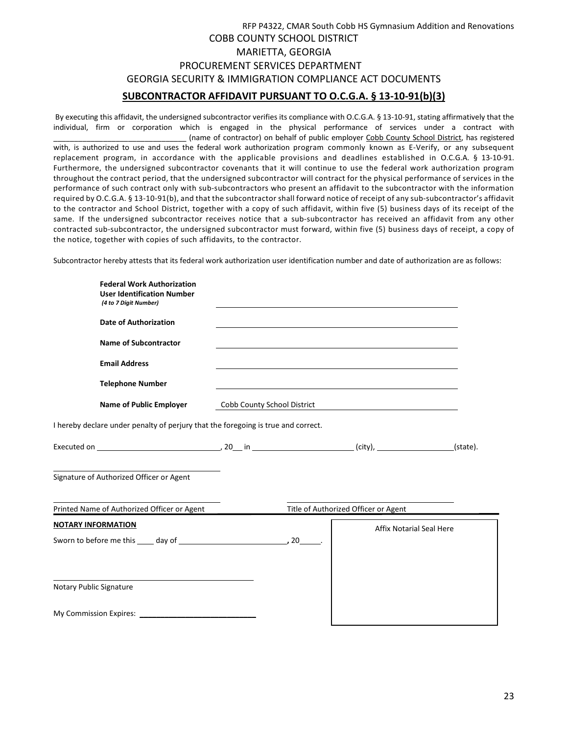| SUBCONTRACTOR AFFIDAVIT PURSUANT TO O.C.G.A. § 13-10-91(b)(3)    |
|------------------------------------------------------------------|
| GEORGIA SECURITY & IMMIGRATION COMPLIANCE ACT DOCUMENTS          |
| PROCUREMENT SERVICES DEPARTMENT                                  |
| MARIETTA, GEORGIA                                                |
| <b>COBB COUNTY SCHOOL DISTRICT</b>                               |
| RFP P4322, CMAR South Cobb HS Gymnasium Addition and Renovations |

By executing this affidavit, the undersigned subcontractor verifies its compliance with O.C.G.A. § 13-10-91, stating affirmatively that the individual, firm or corporation which is engaged in the physical performance of services under a contract with (name of contractor) on behalf of public employer Cobb County School District, has registered with, is authorized to use and uses the federal work authorization program commonly known as E-Verify, or any subsequent replacement program, in accordance with the applicable provisions and deadlines established in O.C.G.A. § 13-10-91. Furthermore, the undersigned subcontractor covenants that it will continue to use the federal work authorization program throughout the contract period, that the undersigned subcontractor will contract for the physical performance of services in the performance of such contract only with sub-subcontractors who present an affidavit to the subcontractor with the information required by O.C.G.A. § 13-10-91(b), and that the subcontractor shall forward notice of receipt of any sub-subcontractor's affidavit to the contractor and School District, together with a copy of such affidavit, within five (5) business days of its receipt of the same. If the undersigned subcontractor receives notice that a sub-subcontractor has received an affidavit from any other contracted sub-subcontractor, the undersigned subcontractor must forward, within five (5) business days of receipt, a copy of the notice, together with copies of such affidavits, to the contractor.

Subcontractor hereby attests that its federal work authorization user identification number and date of authorization are as follows:

| <b>Federal Work Authorization</b><br><b>User Identification Number</b><br>(4 to 7 Digit Number) |                             |                                      |          |
|-------------------------------------------------------------------------------------------------|-----------------------------|--------------------------------------|----------|
| <b>Date of Authorization</b>                                                                    |                             |                                      |          |
| <b>Name of Subcontractor</b>                                                                    |                             |                                      |          |
| <b>Email Address</b>                                                                            |                             |                                      |          |
| <b>Telephone Number</b>                                                                         |                             |                                      |          |
| <b>Name of Public Employer</b>                                                                  | Cobb County School District |                                      |          |
| I hereby declare under penalty of perjury that the foregoing is true and correct.               |                             |                                      |          |
|                                                                                                 |                             |                                      | (state). |
| Signature of Authorized Officer or Agent                                                        |                             |                                      |          |
| Printed Name of Authorized Officer or Agent                                                     |                             | Title of Authorized Officer or Agent |          |
| <b>NOTARY INFORMATION</b>                                                                       |                             | <b>Affix Notarial Seal Here</b>      |          |
|                                                                                                 |                             |                                      |          |
|                                                                                                 |                             |                                      |          |
| Notary Public Signature                                                                         |                             |                                      |          |
|                                                                                                 |                             |                                      |          |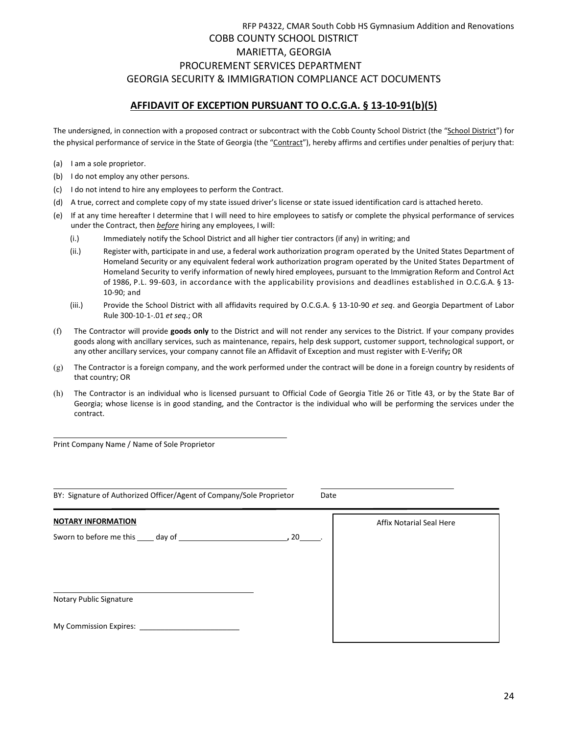# RFP P4322, CMAR South Cobb HS Gymnasium Addition and Renovations COBB COUNTY SCHOOL DISTRICT MARIETTA, GEORGIA PROCUREMENT SERVICES DEPARTMENT GEORGIA SECURITY & IMMIGRATION COMPLIANCE ACT DOCUMENTS

## **AFFIDAVIT OF EXCEPTION PURSUANT TO O.C.G.A. § 13-10-91(b)(5)**

The undersigned, in connection with a proposed contract or subcontract with the Cobb County School District (the "School District") for the physical performance of service in the State of Georgia (the "Contract"), hereby affirms and certifies under penalties of perjury that:

- (a) I am a sole proprietor.
- (b) I do not employ any other persons.
- (c) I do not intend to hire any employees to perform the Contract.
- (d) A true, correct and complete copy of my state issued driver's license or state issued identification card is attached hereto.
- (e) If at any time hereafter I determine that I will need to hire employees to satisfy or complete the physical performance of services under the Contract, then *before* hiring any employees, I will:
	- (i.) Immediately notify the School District and all higher tier contractors (if any) in writing; and
	- (ii.) Register with, participate in and use, a federal work authorization program operated by the United States Department of Homeland Security or any equivalent federal work authorization program operated by the United States Department of Homeland Security to verify information of newly hired employees, pursuant to the Immigration Reform and Control Act of 1986, P.L. 99-603, in accordance with the applicability provisions and deadlines established in O.C.G.A. § 13- 10-90; and
	- (iii.) Provide the School District with all affidavits required by O.C.G.A. § 13-10-90 *et seq*. and Georgia Department of Labor Rule 300-10-1-.01 *et seq*.; OR
- (f) The Contractor will provide **goods only** to the District and will not render any services to the District. If your company provides goods along with ancillary services, such as maintenance, repairs, help desk support, customer support, technological support, or any other ancillary services, your company cannot file an Affidavit of Exception and must register with E-Verify**;** OR
- (g) The Contractor is a foreign company, and the work performed under the contract will be done in a foreign country by residents of that country; OR
- (h) The Contractor is an individual who is licensed pursuant to Official Code of Georgia Title 26 or Title 43, or by the State Bar of Georgia; whose license is in good standing, and the Contractor is the individual who will be performing the services under the contract.

Print Company Name / Name of Sole Proprietor

BY: Signature of Authorized Officer/Agent of Company/Sole Proprietor Date

| BY: Signature of Authorized Officer/Agent of Company/Sole Proprietor<br>Dale |      |                          |  |
|------------------------------------------------------------------------------|------|--------------------------|--|
| <b>NOTARY INFORMATION</b>                                                    | , 20 | Affix Notarial Seal Here |  |
|                                                                              |      |                          |  |
|                                                                              |      |                          |  |
| Notary Public Signature                                                      |      |                          |  |
| My Commission Expires: __________                                            |      |                          |  |

 $24$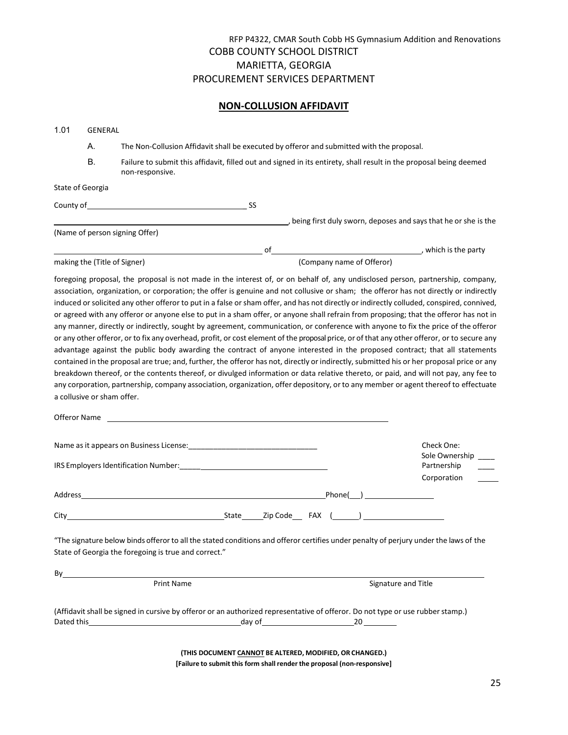#### **NON-COLLUSION AFFIDAVIT**

| 1.01 | GENERAL                    |                                                                                                                                                                                                                                                                                                                                                                                                                                                                                                                                                                                                                                                                                                                                                                                                                                                                                                                                                                                                                                                                                                                                                                                                                    |                           |                     |                               |
|------|----------------------------|--------------------------------------------------------------------------------------------------------------------------------------------------------------------------------------------------------------------------------------------------------------------------------------------------------------------------------------------------------------------------------------------------------------------------------------------------------------------------------------------------------------------------------------------------------------------------------------------------------------------------------------------------------------------------------------------------------------------------------------------------------------------------------------------------------------------------------------------------------------------------------------------------------------------------------------------------------------------------------------------------------------------------------------------------------------------------------------------------------------------------------------------------------------------------------------------------------------------|---------------------------|---------------------|-------------------------------|
|      | А.                         | The Non-Collusion Affidavit shall be executed by offeror and submitted with the proposal.                                                                                                                                                                                                                                                                                                                                                                                                                                                                                                                                                                                                                                                                                                                                                                                                                                                                                                                                                                                                                                                                                                                          |                           |                     |                               |
|      | В.                         | Failure to submit this affidavit, filled out and signed in its entirety, shall result in the proposal being deemed<br>non-responsive.                                                                                                                                                                                                                                                                                                                                                                                                                                                                                                                                                                                                                                                                                                                                                                                                                                                                                                                                                                                                                                                                              |                           |                     |                               |
|      | State of Georgia           |                                                                                                                                                                                                                                                                                                                                                                                                                                                                                                                                                                                                                                                                                                                                                                                                                                                                                                                                                                                                                                                                                                                                                                                                                    |                           |                     |                               |
|      |                            | County of Samuel County of Samuel County of Samuel County of Samuel County of Samuel County of Samuel County of Samuel County of Samuel County of Samuel County of Samuel County of Samuel County of Samuel County of Samuel C                                                                                                                                                                                                                                                                                                                                                                                                                                                                                                                                                                                                                                                                                                                                                                                                                                                                                                                                                                                     |                           |                     |                               |
|      |                            | being first duly sworn, deposes and says that he or she is the                                                                                                                                                                                                                                                                                                                                                                                                                                                                                                                                                                                                                                                                                                                                                                                                                                                                                                                                                                                                                                                                                                                                                     |                           |                     |                               |
|      |                            | (Name of person signing Offer)                                                                                                                                                                                                                                                                                                                                                                                                                                                                                                                                                                                                                                                                                                                                                                                                                                                                                                                                                                                                                                                                                                                                                                                     |                           |                     |                               |
|      |                            |                                                                                                                                                                                                                                                                                                                                                                                                                                                                                                                                                                                                                                                                                                                                                                                                                                                                                                                                                                                                                                                                                                                                                                                                                    |                           |                     |                               |
|      |                            | making the (Title of Signer)                                                                                                                                                                                                                                                                                                                                                                                                                                                                                                                                                                                                                                                                                                                                                                                                                                                                                                                                                                                                                                                                                                                                                                                       | (Company name of Offeror) |                     |                               |
|      | a collusive or sham offer. | or agreed with any offeror or anyone else to put in a sham offer, or anyone shall refrain from proposing; that the offeror has not in<br>any manner, directly or indirectly, sought by agreement, communication, or conference with anyone to fix the price of the offeror<br>or any other offeror, or to fix any overhead, profit, or cost element of the proposal price, or of that any other offeror, or to secure any<br>advantage against the public body awarding the contract of anyone interested in the proposed contract; that all statements<br>contained in the proposal are true; and, further, the offeror has not, directly or indirectly, submitted his or her proposal price or any<br>breakdown thereof, or the contents thereof, or divulged information or data relative thereto, or paid, and will not pay, any fee to<br>any corporation, partnership, company association, organization, offer depository, or to any member or agent thereof to effectuate<br>Offeror Name and the state of the state of the state of the state of the state of the state of the state of the state of the state of the state of the state of the state of the state of the state of the state of the state |                           |                     |                               |
|      |                            |                                                                                                                                                                                                                                                                                                                                                                                                                                                                                                                                                                                                                                                                                                                                                                                                                                                                                                                                                                                                                                                                                                                                                                                                                    |                           |                     |                               |
|      |                            |                                                                                                                                                                                                                                                                                                                                                                                                                                                                                                                                                                                                                                                                                                                                                                                                                                                                                                                                                                                                                                                                                                                                                                                                                    |                           |                     | Check One:                    |
|      |                            |                                                                                                                                                                                                                                                                                                                                                                                                                                                                                                                                                                                                                                                                                                                                                                                                                                                                                                                                                                                                                                                                                                                                                                                                                    |                           |                     | Sole Ownership<br>Partnership |
|      |                            |                                                                                                                                                                                                                                                                                                                                                                                                                                                                                                                                                                                                                                                                                                                                                                                                                                                                                                                                                                                                                                                                                                                                                                                                                    |                           |                     | Corporation                   |
|      |                            |                                                                                                                                                                                                                                                                                                                                                                                                                                                                                                                                                                                                                                                                                                                                                                                                                                                                                                                                                                                                                                                                                                                                                                                                                    |                           | $Phone(\_)$         |                               |
|      |                            |                                                                                                                                                                                                                                                                                                                                                                                                                                                                                                                                                                                                                                                                                                                                                                                                                                                                                                                                                                                                                                                                                                                                                                                                                    |                           |                     |                               |
|      |                            | "The signature below binds offeror to all the stated conditions and offeror certifies under penalty of perjury under the laws of the<br>State of Georgia the foregoing is true and correct."                                                                                                                                                                                                                                                                                                                                                                                                                                                                                                                                                                                                                                                                                                                                                                                                                                                                                                                                                                                                                       |                           |                     |                               |
|      |                            | By                                                                                                                                                                                                                                                                                                                                                                                                                                                                                                                                                                                                                                                                                                                                                                                                                                                                                                                                                                                                                                                                                                                                                                                                                 |                           |                     |                               |
|      |                            | Print Name                                                                                                                                                                                                                                                                                                                                                                                                                                                                                                                                                                                                                                                                                                                                                                                                                                                                                                                                                                                                                                                                                                                                                                                                         |                           | Signature and Title |                               |
|      |                            | (Affidavit shall be signed in cursive by offeror or an authorized representative of offeror. Do not type or use rubber stamp.)                                                                                                                                                                                                                                                                                                                                                                                                                                                                                                                                                                                                                                                                                                                                                                                                                                                                                                                                                                                                                                                                                     |                           |                     |                               |
|      |                            | (THIS DOCUMENT CANNOT BE ALTERED, MODIFIED, OR CHANGED.)                                                                                                                                                                                                                                                                                                                                                                                                                                                                                                                                                                                                                                                                                                                                                                                                                                                                                                                                                                                                                                                                                                                                                           |                           |                     |                               |

**(THIS DOCUMENT CANNOT BE ALTERED, MODIFIED, OR CHANGED.) [Failure to submit this form shall render the proposal (non-responsive]**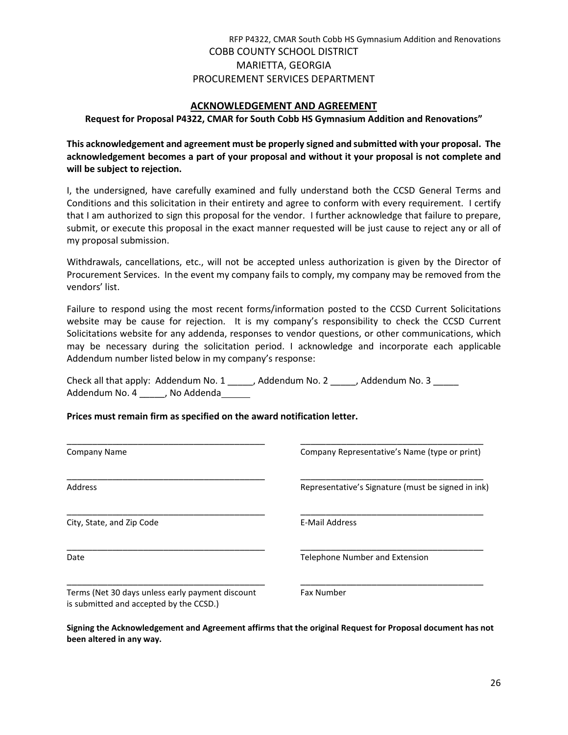#### **ACKNOWLEDGEMENT AND AGREEMENT**

**Request for Proposal P4322, CMAR for South Cobb HS Gymnasium Addition and Renovations"**

**This acknowledgement and agreement must be properly signed and submitted with your proposal. The acknowledgement becomes a part of your proposal and without it your proposal is not complete and will be subject to rejection.**

I, the undersigned, have carefully examined and fully understand both the CCSD General Terms and Conditions and this solicitation in their entirety and agree to conform with every requirement. I certify that I am authorized to sign this proposal for the vendor. I further acknowledge that failure to prepare, submit, or execute this proposal in the exact manner requested will be just cause to reject any or all of my proposal submission.

Withdrawals, cancellations, etc., will not be accepted unless authorization is given by the Director of Procurement Services. In the event my company fails to comply, my company may be removed from the vendors' list.

Failure to respond using the most recent forms/information posted to the CCSD Current Solicitations website may be cause for rejection. It is my company's responsibility to check the CCSD Current Solicitations website for any addenda, responses to vendor questions, or other communications, which may be necessary during the solicitation period. I acknowledge and incorporate each applicable Addendum number listed below in my company's response:

Check all that apply: Addendum No. 1 \_\_\_\_\_, Addendum No. 2 \_\_\_\_\_, Addendum No. 3 \_\_\_\_\_ Addendum No. 4 \_\_\_\_\_\_, No Addenda\_\_\_\_\_\_

#### **Prices must remain firm as specified on the award notification letter.**

| Company Name                                                                                | Company Representative's Name (type or print)      |
|---------------------------------------------------------------------------------------------|----------------------------------------------------|
| <b>Address</b>                                                                              | Representative's Signature (must be signed in ink) |
| City, State, and Zip Code                                                                   | E-Mail Address                                     |
| Date                                                                                        | Telephone Number and Extension                     |
| Terms (Net 30 days unless early payment discount<br>is submitted and accepted by the CCSD.) | <b>Fax Number</b>                                  |

**Signing the Acknowledgement and Agreement affirms that the original Request for Proposal document has not been altered in any way.**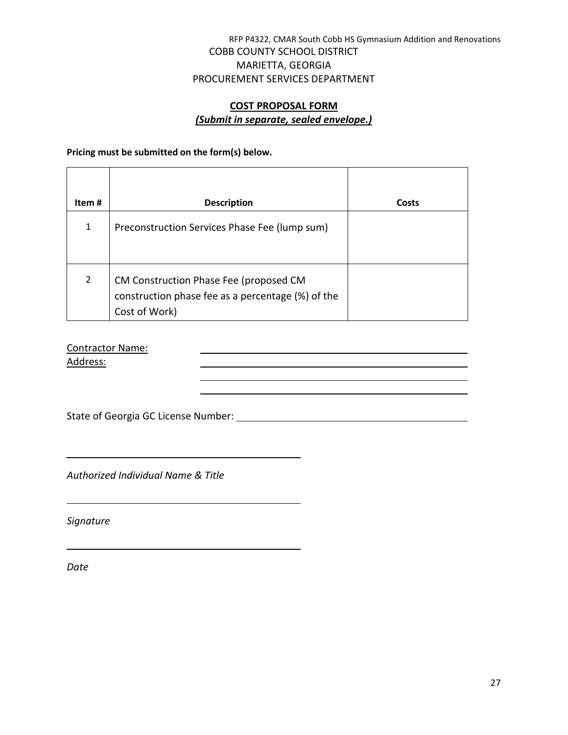# **COST PROPOSAL FORM** *(Submit in separate, sealed envelope.)*

**Pricing must be submitted on the form(s) below.** 

| Item#          | <b>Description</b>                                                                                           | Costs |
|----------------|--------------------------------------------------------------------------------------------------------------|-------|
| $\mathbf{1}$   | Preconstruction Services Phase Fee (lump sum)                                                                |       |
| $\overline{2}$ | CM Construction Phase Fee (proposed CM<br>construction phase fee as a percentage (%) of the<br>Cost of Work) |       |

Contractor Name:

Address:

State of Georgia GC License Number:

<u> 1980 - Johann Barn, amerikan bestemanns eta biztanleria (h. 1980).</u>

*Authorized Individual Name & Title*

*Signature*

*Date*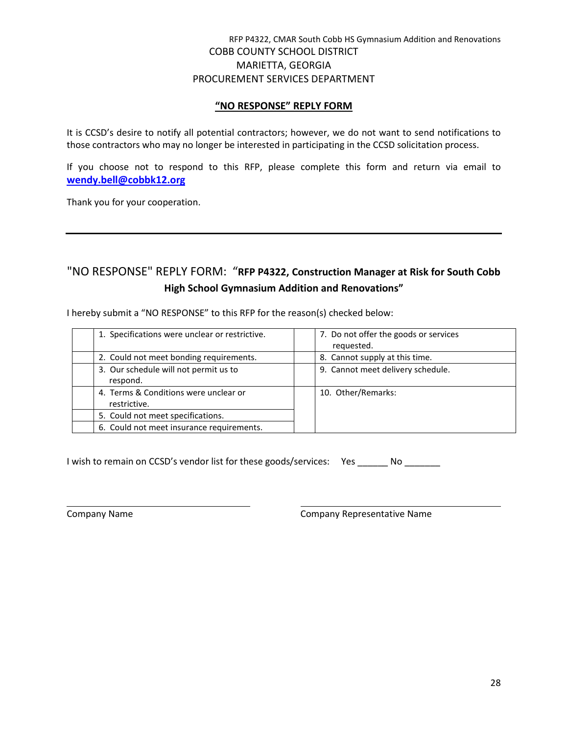#### **"NO RESPONSE" REPLY FORM**

It is CCSD's desire to notify all potential contractors; however, we do not want to send notifications to those contractors who may no longer be interested in participating in the CCSD solicitation process.

If you choose not to respond to this RFP, please complete this form and return via email to **[wendy.bell@cobbk12.org](mailto:wendy.bell@cobbk12.org)**

Thank you for your cooperation.

# "NO RESPONSE" REPLY FORM: "**RFP P4322, Construction Manager at Risk for South Cobb High School Gymnasium Addition and Renovations"**

I hereby submit a "NO RESPONSE" to this RFP for the reason(s) checked below:

| 1. Specifications were unclear or restrictive.        | 7. Do not offer the goods or services<br>requested. |
|-------------------------------------------------------|-----------------------------------------------------|
| 2. Could not meet bonding requirements.               | 8. Cannot supply at this time.                      |
| 3. Our schedule will not permit us to<br>respond.     | 9. Cannot meet delivery schedule.                   |
| 4. Terms & Conditions were unclear or<br>restrictive. | 10. Other/Remarks:                                  |
| 5. Could not meet specifications.                     |                                                     |
| 6. Could not meet insurance requirements.             |                                                     |

I wish to remain on CCSD's vendor list for these goods/services: Yes \_\_\_\_\_\_ No \_\_\_\_\_\_

Company Name Company Representative Name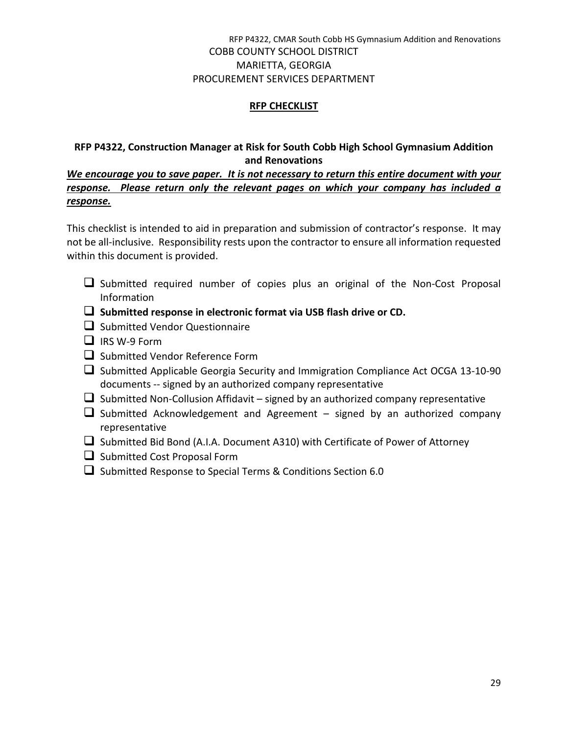# **RFP CHECKLIST**

# **RFP P4322, Construction Manager at Risk for South Cobb High School Gymnasium Addition and Renovations**

*We encourage you to save paper. It is not necessary to return this entire document with your response. Please return only the relevant pages on which your company has included a response.*

This checklist is intended to aid in preparation and submission of contractor's response. It may not be all-inclusive. Responsibility rests upon the contractor to ensure all information requested within this document is provided.

- $\Box$  Submitted required number of copies plus an original of the Non-Cost Proposal Information
- **Submitted response in electronic format via USB flash drive or CD.**
- $\Box$  Submitted Vendor Questionnaire
- $\Box$  IRS W-9 Form
- $\Box$  Submitted Vendor Reference Form
- $\Box$  Submitted Applicable Georgia Security and Immigration Compliance Act OCGA 13-10-90 documents -- signed by an authorized company representative
- $\Box$  Submitted Non-Collusion Affidavit signed by an authorized company representative
- $\Box$  Submitted Acknowledgement and Agreement signed by an authorized company representative
- $\Box$  Submitted Bid Bond (A.I.A. Document A310) with Certificate of Power of Attorney
- $\Box$  Submitted Cost Proposal Form
- $\square$  Submitted Response to Special Terms & Conditions Section 6.0